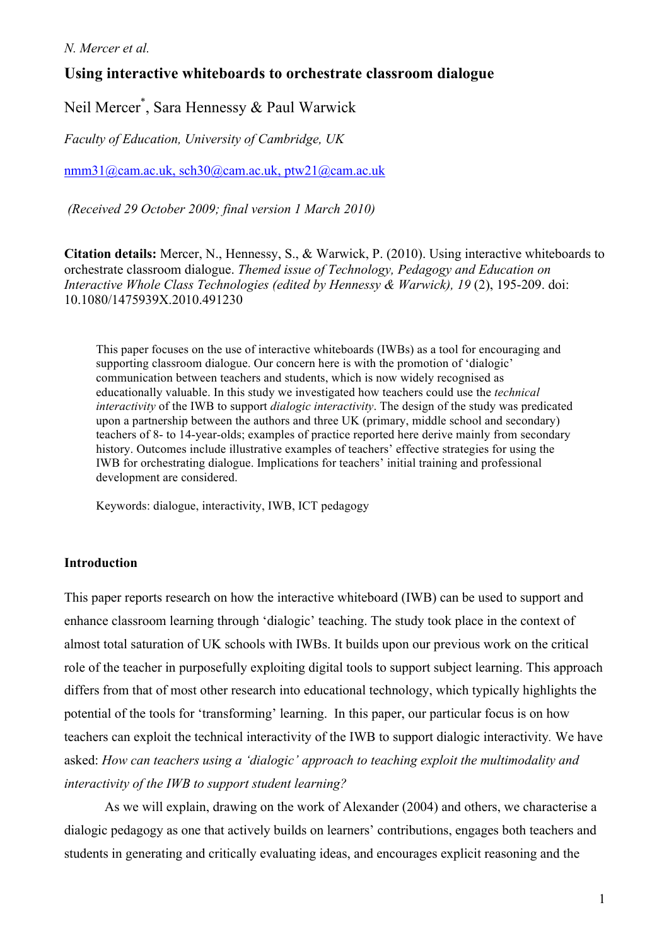# **Using interactive whiteboards to orchestrate classroom dialogue**

Neil Mercer\* , Sara Hennessy & Paul Warwick

*Faculty of Education, University of Cambridge, UK*

nmm31@cam.ac.uk, sch30@cam.ac.uk, ptw21@cam.ac.uk

*(Received 29 October 2009; final version 1 March 2010)*

**Citation details:** Mercer, N., Hennessy, S., & Warwick, P. (2010). Using interactive whiteboards to orchestrate classroom dialogue. *Themed issue of Technology, Pedagogy and Education on Interactive Whole Class Technologies (edited by Hennessy & Warwick), 19* (2), 195-209. doi: 10.1080/1475939X.2010.491230

This paper focuses on the use of interactive whiteboards (IWBs) as a tool for encouraging and supporting classroom dialogue. Our concern here is with the promotion of 'dialogic' communication between teachers and students, which is now widely recognised as educationally valuable. In this study we investigated how teachers could use the *technical interactivity* of the IWB to support *dialogic interactivity*. The design of the study was predicated upon a partnership between the authors and three UK (primary, middle school and secondary) teachers of 8- to 14-year-olds; examples of practice reported here derive mainly from secondary history. Outcomes include illustrative examples of teachers' effective strategies for using the IWB for orchestrating dialogue. Implications for teachers' initial training and professional development are considered.

Keywords: dialogue, interactivity, IWB, ICT pedagogy

# **Introduction**

This paper reports research on how the interactive whiteboard (IWB) can be used to support and enhance classroom learning through 'dialogic' teaching. The study took place in the context of almost total saturation of UK schools with IWBs. It builds upon our previous work on the critical role of the teacher in purposefully exploiting digital tools to support subject learning. This approach differs from that of most other research into educational technology, which typically highlights the potential of the tools for 'transforming' learning. In this paper, our particular focus is on how teachers can exploit the technical interactivity of the IWB to support dialogic interactivity*.* We have asked: *How can teachers using a 'dialogic' approach to teaching exploit the multimodality and interactivity of the IWB to support student learning?* 

As we will explain, drawing on the work of Alexander (2004) and others, we characterise a dialogic pedagogy as one that actively builds on learners' contributions, engages both teachers and students in generating and critically evaluating ideas, and encourages explicit reasoning and the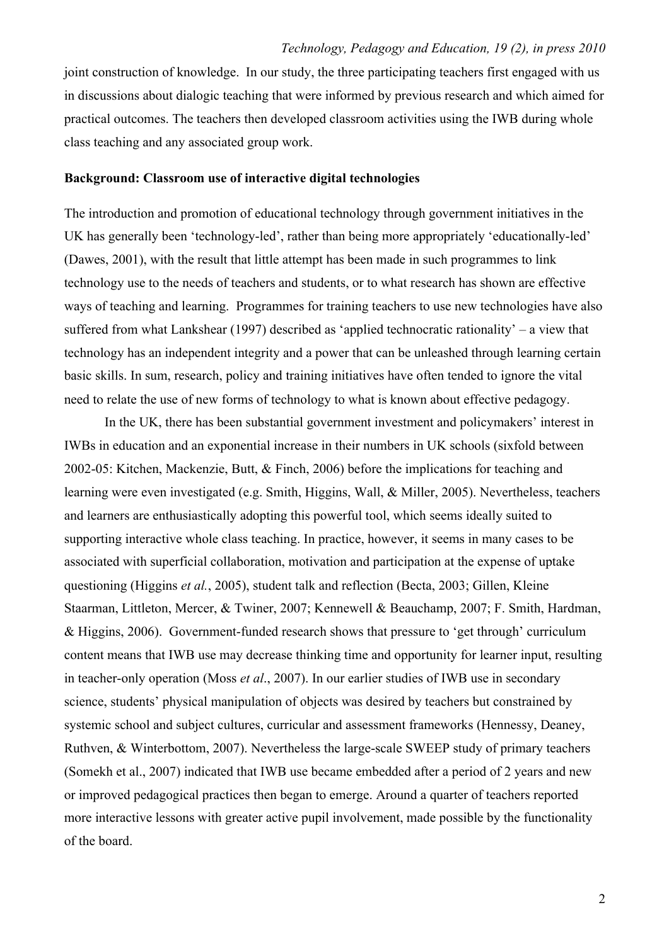joint construction of knowledge. In our study, the three participating teachers first engaged with us in discussions about dialogic teaching that were informed by previous research and which aimed for practical outcomes. The teachers then developed classroom activities using the IWB during whole class teaching and any associated group work.

### **Background: Classroom use of interactive digital technologies**

The introduction and promotion of educational technology through government initiatives in the UK has generally been 'technology-led', rather than being more appropriately 'educationally-led' (Dawes, 2001), with the result that little attempt has been made in such programmes to link technology use to the needs of teachers and students, or to what research has shown are effective ways of teaching and learning. Programmes for training teachers to use new technologies have also suffered from what Lankshear (1997) described as 'applied technocratic rationality' – a view that technology has an independent integrity and a power that can be unleashed through learning certain basic skills. In sum, research, policy and training initiatives have often tended to ignore the vital need to relate the use of new forms of technology to what is known about effective pedagogy.

In the UK, there has been substantial government investment and policymakers' interest in IWBs in education and an exponential increase in their numbers in UK schools (sixfold between 2002-05: Kitchen, Mackenzie, Butt, & Finch, 2006) before the implications for teaching and learning were even investigated (e.g. Smith, Higgins, Wall, & Miller, 2005). Nevertheless, teachers and learners are enthusiastically adopting this powerful tool, which seems ideally suited to supporting interactive whole class teaching. In practice, however, it seems in many cases to be associated with superficial collaboration, motivation and participation at the expense of uptake questioning (Higgins *et al.*, 2005), student talk and reflection (Becta, 2003; Gillen, Kleine Staarman, Littleton, Mercer, & Twiner, 2007; Kennewell & Beauchamp, 2007; F. Smith, Hardman, & Higgins, 2006). Government-funded research shows that pressure to 'get through' curriculum content means that IWB use may decrease thinking time and opportunity for learner input, resulting in teacher-only operation (Moss *et al*., 2007). In our earlier studies of IWB use in secondary science, students' physical manipulation of objects was desired by teachers but constrained by systemic school and subject cultures, curricular and assessment frameworks (Hennessy, Deaney, Ruthven, & Winterbottom, 2007). Nevertheless the large-scale SWEEP study of primary teachers (Somekh et al., 2007) indicated that IWB use became embedded after a period of 2 years and new or improved pedagogical practices then began to emerge. Around a quarter of teachers reported more interactive lessons with greater active pupil involvement, made possible by the functionality of the board.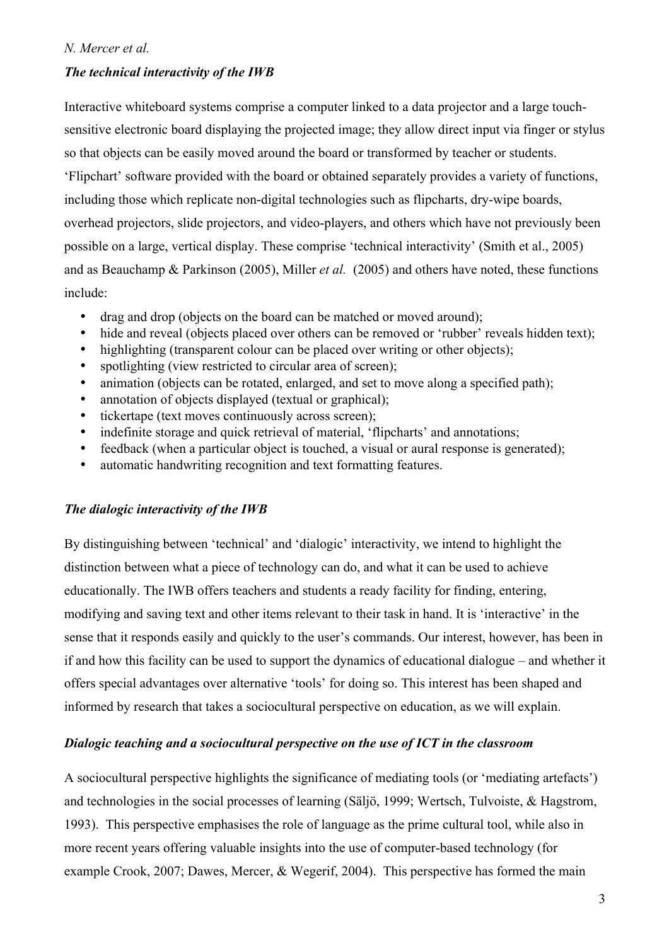# *The technical interactivity of the IWB*

Interactive whiteboard systems comprise a computer linked to a data projector and a large touchsensitive electronic board displaying the projected image; they allow direct input via finger or stylus so that objects can be easily moved around the board or transformed by teacher or students. 'Flipchart' software provided with the board or obtained separately provides a variety of functions, including those which replicate non-digital technologies such as flipcharts, dry-wipe boards, overhead projectors, slide projectors, and video-players, and others which have not previously been possible on a large, vertical display. These comprise 'technical interactivity' (Smith et al., 2005) and as Beauchamp & Parkinson (2005), Miller *et al.* (2005) and others have noted, these functions include:

- drag and drop (objects on the board can be matched or moved around);
- hide and reveal (objects placed over others can be removed or 'rubber' reveals hidden text);
- highlighting (transparent colour can be placed over writing or other objects);
- spotlighting (view restricted to circular area of screen);
- animation (objects can be rotated, enlarged, and set to move along a specified path);
- annotation of objects displayed (textual or graphical);
- tickertape (text moves continuously across screen);
- indefinite storage and quick retrieval of material, 'flipcharts' and annotations;
- feedback (when a particular object is touched, a visual or aural response is generated);
- automatic handwriting recognition and text formatting features.

### *The dialogic interactivity of the IWB*

By distinguishing between 'technical' and 'dialogic' interactivity, we intend to highlight the distinction between what a piece of technology can do, and what it can be used to achieve educationally. The IWB offers teachers and students a ready facility for finding, entering, modifying and saving text and other items relevant to their task in hand. It is 'interactive' in the sense that it responds easily and quickly to the user's commands. Our interest, however, has been in if and how this facility can be used to support the dynamics of educational dialogue – and whether it offers special advantages over alternative 'tools' for doing so. This interest has been shaped and informed by research that takes a sociocultural perspective on education, as we will explain.

# *Dialogic teaching and a sociocultural perspective on the use of ICT in the classroom*

A sociocultural perspective highlights the significance of mediating tools (or 'mediating artefacts') and technologies in the social processes of learning (Säljö, 1999; Wertsch, Tulvoiste, & Hagstrom, 1993). This perspective emphasises the role of language as the prime cultural tool, while also in more recent years offering valuable insights into the use of computer-based technology (for example Crook, 2007; Dawes, Mercer, & Wegerif, 2004). This perspective has formed the main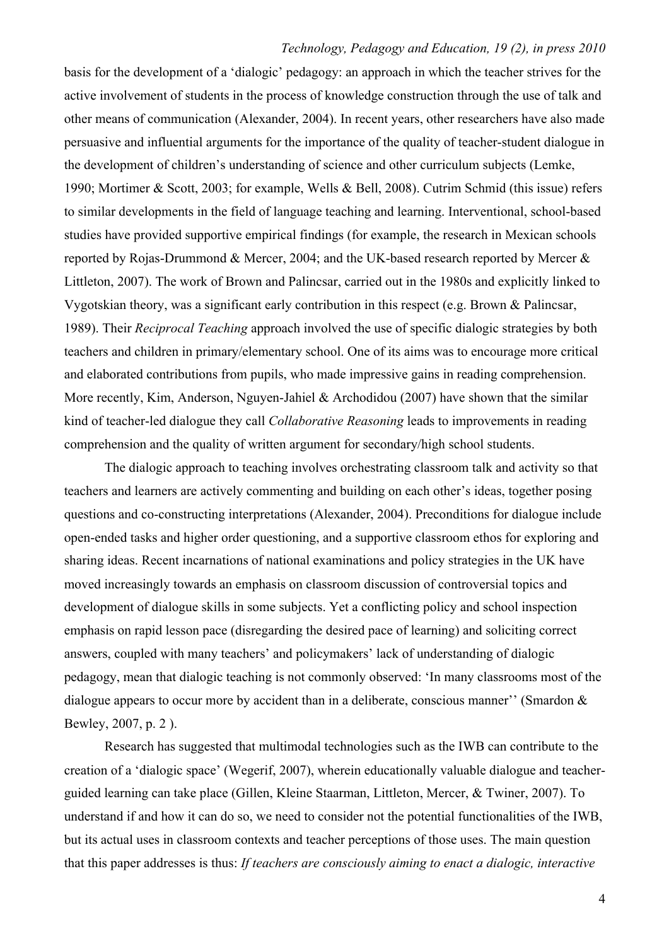# *Technology, Pedagogy and Education, 19 (2), in press 2010*

basis for the development of a 'dialogic' pedagogy: an approach in which the teacher strives for the active involvement of students in the process of knowledge construction through the use of talk and other means of communication (Alexander, 2004). In recent years, other researchers have also made persuasive and influential arguments for the importance of the quality of teacher-student dialogue in the development of children's understanding of science and other curriculum subjects (Lemke, 1990; Mortimer & Scott, 2003; for example, Wells & Bell, 2008). Cutrim Schmid (this issue) refers to similar developments in the field of language teaching and learning. Interventional, school-based studies have provided supportive empirical findings (for example, the research in Mexican schools reported by Rojas-Drummond & Mercer, 2004; and the UK-based research reported by Mercer & Littleton, 2007). The work of Brown and Palincsar, carried out in the 1980s and explicitly linked to Vygotskian theory, was a significant early contribution in this respect (e.g. Brown & Palincsar, 1989). Their *Reciprocal Teaching* approach involved the use of specific dialogic strategies by both teachers and children in primary/elementary school. One of its aims was to encourage more critical and elaborated contributions from pupils, who made impressive gains in reading comprehension. More recently, Kim, Anderson, Nguyen-Jahiel & Archodidou (2007) have shown that the similar kind of teacher-led dialogue they call *Collaborative Reasoning* leads to improvements in reading comprehension and the quality of written argument for secondary/high school students.

The dialogic approach to teaching involves orchestrating classroom talk and activity so that teachers and learners are actively commenting and building on each other's ideas, together posing questions and co-constructing interpretations (Alexander, 2004). Preconditions for dialogue include open-ended tasks and higher order questioning, and a supportive classroom ethos for exploring and sharing ideas. Recent incarnations of national examinations and policy strategies in the UK have moved increasingly towards an emphasis on classroom discussion of controversial topics and development of dialogue skills in some subjects. Yet a conflicting policy and school inspection emphasis on rapid lesson pace (disregarding the desired pace of learning) and soliciting correct answers, coupled with many teachers' and policymakers' lack of understanding of dialogic pedagogy, mean that dialogic teaching is not commonly observed: 'In many classrooms most of the dialogue appears to occur more by accident than in a deliberate, conscious manner'' (Smardon & Bewley, 2007, p. 2 ).

Research has suggested that multimodal technologies such as the IWB can contribute to the creation of a 'dialogic space' (Wegerif, 2007), wherein educationally valuable dialogue and teacherguided learning can take place (Gillen, Kleine Staarman, Littleton, Mercer, & Twiner, 2007). To understand if and how it can do so, we need to consider not the potential functionalities of the IWB, but its actual uses in classroom contexts and teacher perceptions of those uses. The main question that this paper addresses is thus: *If teachers are consciously aiming to enact a dialogic, interactive*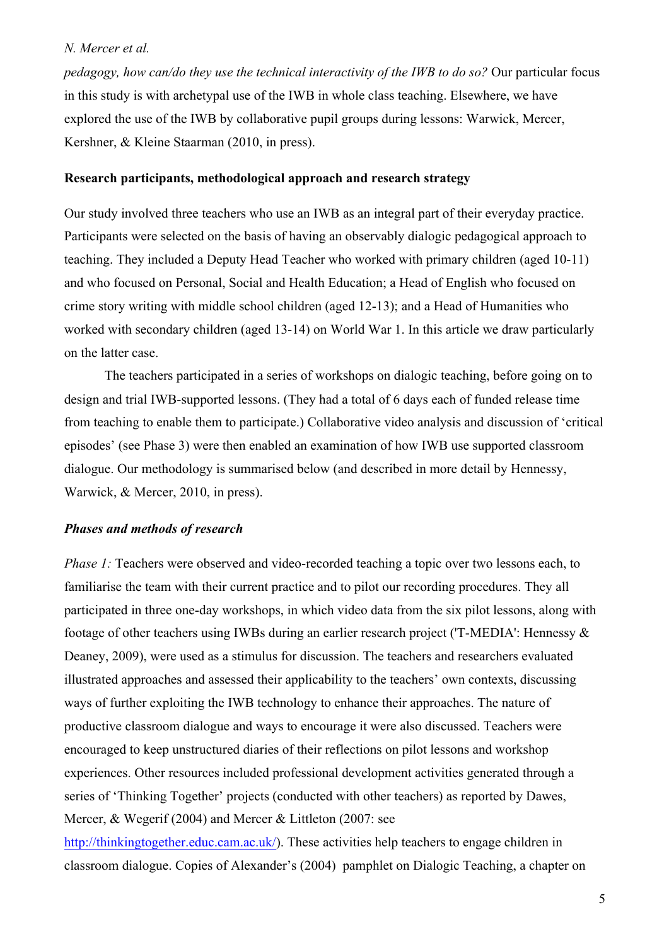*pedagogy, how can/do they use the technical interactivity of the IWB to do so?* Our particular focus in this study is with archetypal use of the IWB in whole class teaching. Elsewhere, we have explored the use of the IWB by collaborative pupil groups during lessons: Warwick, Mercer, Kershner, & Kleine Staarman (2010, in press).

### **Research participants, methodological approach and research strategy**

Our study involved three teachers who use an IWB as an integral part of their everyday practice. Participants were selected on the basis of having an observably dialogic pedagogical approach to teaching. They included a Deputy Head Teacher who worked with primary children (aged 10-11) and who focused on Personal, Social and Health Education; a Head of English who focused on crime story writing with middle school children (aged 12-13); and a Head of Humanities who worked with secondary children (aged 13-14) on World War 1. In this article we draw particularly on the latter case.

The teachers participated in a series of workshops on dialogic teaching, before going on to design and trial IWB-supported lessons. (They had a total of 6 days each of funded release time from teaching to enable them to participate.) Collaborative video analysis and discussion of 'critical episodes' (see Phase 3) were then enabled an examination of how IWB use supported classroom dialogue. Our methodology is summarised below (and described in more detail by Hennessy, Warwick, & Mercer, 2010, in press).

### *Phases and methods of research*

*Phase 1:* Teachers were observed and video-recorded teaching a topic over two lessons each, to familiarise the team with their current practice and to pilot our recording procedures. They all participated in three one-day workshops, in which video data from the six pilot lessons, along with footage of other teachers using IWBs during an earlier research project ('T-MEDIA': Hennessy & Deaney, 2009), were used as a stimulus for discussion. The teachers and researchers evaluated illustrated approaches and assessed their applicability to the teachers' own contexts, discussing ways of further exploiting the IWB technology to enhance their approaches. The nature of productive classroom dialogue and ways to encourage it were also discussed. Teachers were encouraged to keep unstructured diaries of their reflections on pilot lessons and workshop experiences. Other resources included professional development activities generated through a series of 'Thinking Together' projects (conducted with other teachers) as reported by Dawes, Mercer, & Wegerif (2004) and Mercer & Littleton (2007: see

http://thinkingtogether.educ.cam.ac.uk/). These activities help teachers to engage children in classroom dialogue. Copies of Alexander's (2004) pamphlet on Dialogic Teaching, a chapter on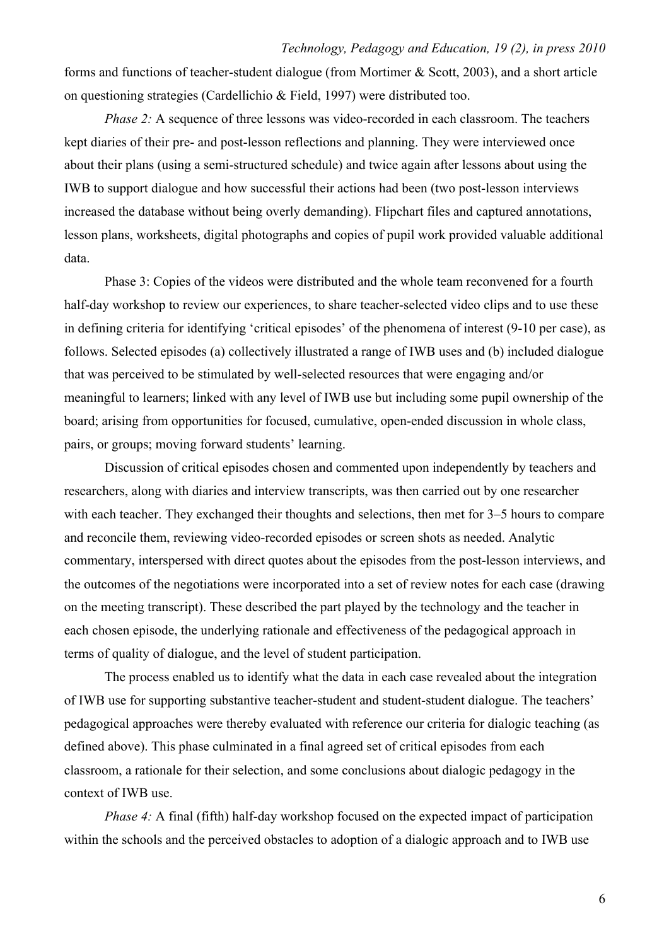forms and functions of teacher-student dialogue (from Mortimer & Scott, 2003), and a short article on questioning strategies (Cardellichio & Field, 1997) were distributed too.

*Phase 2:* A sequence of three lessons was video-recorded in each classroom. The teachers kept diaries of their pre- and post-lesson reflections and planning. They were interviewed once about their plans (using a semi-structured schedule) and twice again after lessons about using the IWB to support dialogue and how successful their actions had been (two post-lesson interviews increased the database without being overly demanding). Flipchart files and captured annotations, lesson plans, worksheets, digital photographs and copies of pupil work provided valuable additional data.

Phase 3: Copies of the videos were distributed and the whole team reconvened for a fourth half-day workshop to review our experiences, to share teacher-selected video clips and to use these in defining criteria for identifying 'critical episodes' of the phenomena of interest (9-10 per case), as follows. Selected episodes (a) collectively illustrated a range of IWB uses and (b) included dialogue that was perceived to be stimulated by well-selected resources that were engaging and/or meaningful to learners; linked with any level of IWB use but including some pupil ownership of the board; arising from opportunities for focused, cumulative, open-ended discussion in whole class, pairs, or groups; moving forward students' learning.

Discussion of critical episodes chosen and commented upon independently by teachers and researchers, along with diaries and interview transcripts, was then carried out by one researcher with each teacher. They exchanged their thoughts and selections, then met for 3–5 hours to compare and reconcile them, reviewing video-recorded episodes or screen shots as needed. Analytic commentary, interspersed with direct quotes about the episodes from the post-lesson interviews, and the outcomes of the negotiations were incorporated into a set of review notes for each case (drawing on the meeting transcript). These described the part played by the technology and the teacher in each chosen episode, the underlying rationale and effectiveness of the pedagogical approach in terms of quality of dialogue, and the level of student participation.

The process enabled us to identify what the data in each case revealed about the integration of IWB use for supporting substantive teacher-student and student-student dialogue. The teachers' pedagogical approaches were thereby evaluated with reference our criteria for dialogic teaching (as defined above). This phase culminated in a final agreed set of critical episodes from each classroom, a rationale for their selection, and some conclusions about dialogic pedagogy in the context of IWB use.

*Phase 4:* A final (fifth) half-day workshop focused on the expected impact of participation within the schools and the perceived obstacles to adoption of a dialogic approach and to IWB use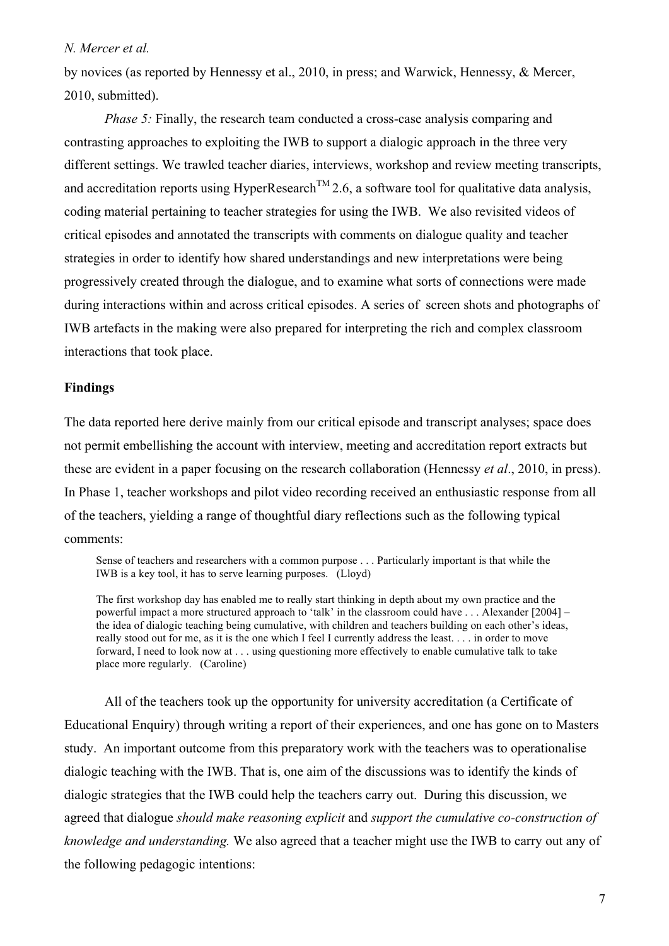by novices (as reported by Hennessy et al., 2010, in press; and Warwick, Hennessy, & Mercer, 2010 submitted).

*Phase 5:* Finally, the research team conducted a cross-case analysis comparing and contrasting approaches to exploiting the IWB to support a dialogic approach in the three very different settings. We trawled teacher diaries, interviews, workshop and review meeting transcripts, and accreditation reports using HyperResearch<sup>TM</sup> 2.6, a software tool for qualitative data analysis, coding material pertaining to teacher strategies for using the IWB. We also revisited videos of critical episodes and annotated the transcripts with comments on dialogue quality and teacher strategies in order to identify how shared understandings and new interpretations were being progressively created through the dialogue, and to examine what sorts of connections were made during interactions within and across critical episodes. A series of screen shots and photographs of IWB artefacts in the making were also prepared for interpreting the rich and complex classroom interactions that took place.

# **Findings**

The data reported here derive mainly from our critical episode and transcript analyses; space does not permit embellishing the account with interview, meeting and accreditation report extracts but these are evident in a paper focusing on the research collaboration (Hennessy *et al*., 2010, in press). In Phase 1, teacher workshops and pilot video recording received an enthusiastic response from all of the teachers, yielding a range of thoughtful diary reflections such as the following typical comments:

Sense of teachers and researchers with a common purpose . . . Particularly important is that while the IWB is a key tool, it has to serve learning purposes. (Lloyd)

The first workshop day has enabled me to really start thinking in depth about my own practice and the powerful impact a more structured approach to 'talk' in the classroom could have . . . Alexander [2004] – the idea of dialogic teaching being cumulative, with children and teachers building on each other's ideas, really stood out for me, as it is the one which I feel I currently address the least. . . . in order to move forward, I need to look now at . . . using questioning more effectively to enable cumulative talk to take place more regularly. (Caroline)

All of the teachers took up the opportunity for university accreditation (a Certificate of Educational Enquiry) through writing a report of their experiences, and one has gone on to Masters study. An important outcome from this preparatory work with the teachers was to operationalise dialogic teaching with the IWB. That is, one aim of the discussions was to identify the kinds of dialogic strategies that the IWB could help the teachers carry out. During this discussion, we agreed that dialogue *should make reasoning explicit* and *support the cumulative co-construction of knowledge and understanding.* We also agreed that a teacher might use the IWB to carry out any of the following pedagogic intentions: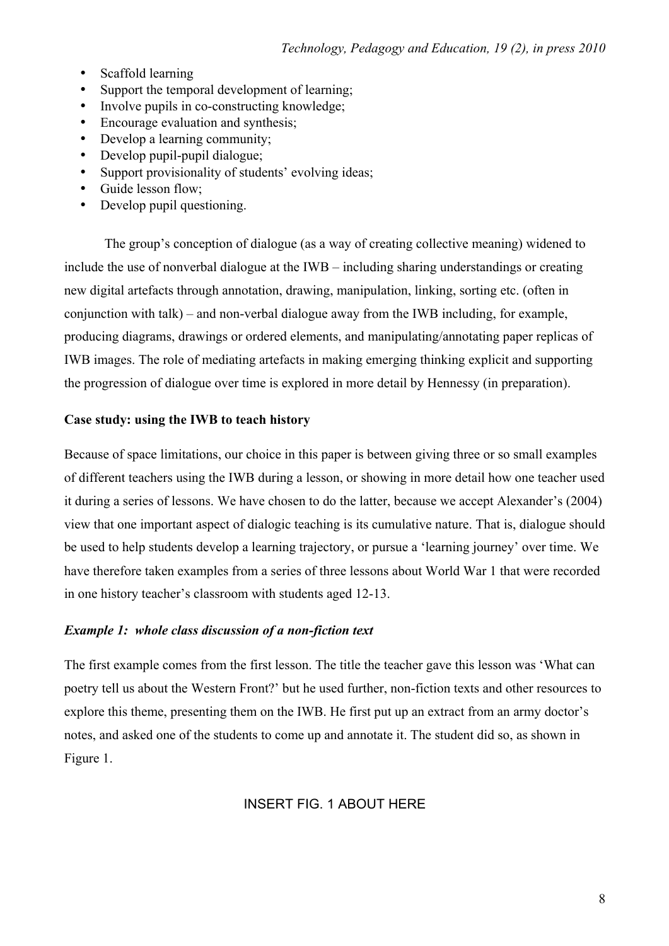- Scaffold learning
- Support the temporal development of learning;
- Involve pupils in co-constructing knowledge;
- Encourage evaluation and synthesis;
- Develop a learning community;
- Develop pupil-pupil dialogue;
- Support provisionality of students' evolving ideas;
- Guide lesson flow;
- Develop pupil questioning.

The group's conception of dialogue (as a way of creating collective meaning) widened to include the use of nonverbal dialogue at the IWB – including sharing understandings or creating new digital artefacts through annotation, drawing, manipulation, linking, sorting etc. (often in conjunction with talk) – and non-verbal dialogue away from the IWB including, for example, producing diagrams, drawings or ordered elements, and manipulating/annotating paper replicas of IWB images. The role of mediating artefacts in making emerging thinking explicit and supporting the progression of dialogue over time is explored in more detail by Hennessy (in preparation).

# **Case study: using the IWB to teach history**

Because of space limitations, our choice in this paper is between giving three or so small examples of different teachers using the IWB during a lesson, or showing in more detail how one teacher used it during a series of lessons. We have chosen to do the latter, because we accept Alexander's (2004) view that one important aspect of dialogic teaching is its cumulative nature. That is, dialogue should be used to help students develop a learning trajectory, or pursue a 'learning journey' over time. We have therefore taken examples from a series of three lessons about World War 1 that were recorded in one history teacher's classroom with students aged 12-13.

### *Example 1: whole class discussion of a non-fiction text*

The first example comes from the first lesson. The title the teacher gave this lesson was 'What can poetry tell us about the Western Front?' but he used further, non-fiction texts and other resources to explore this theme, presenting them on the IWB. He first put up an extract from an army doctor's notes, and asked one of the students to come up and annotate it. The student did so, as shown in Figure 1.

# INSERT FIG. 1 ABOUT HERE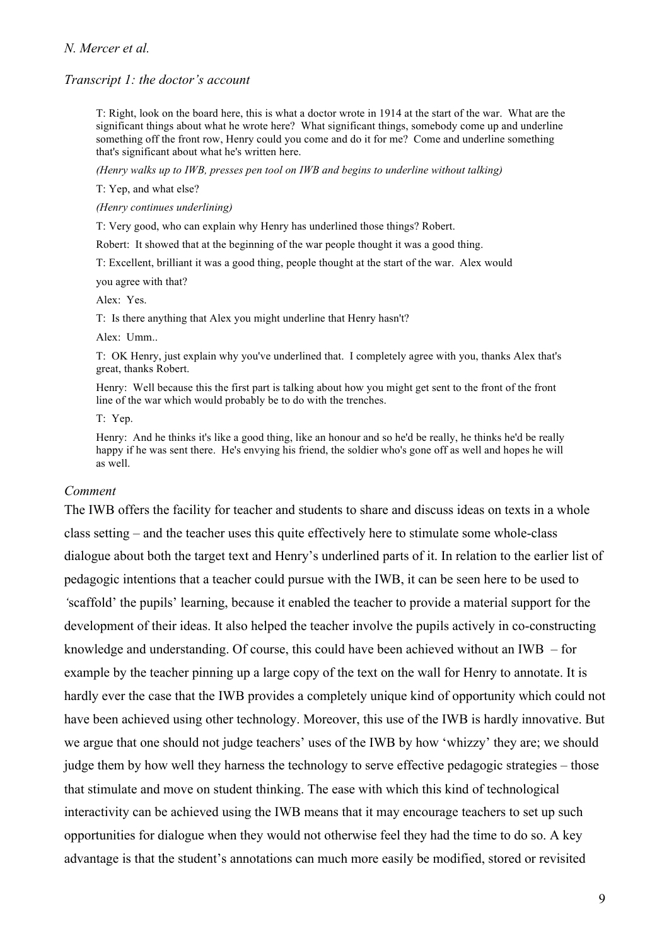*Transcript 1: the doctor's account*

T: Right, look on the board here, this is what a doctor wrote in 1914 at the start of the war. What are the significant things about what he wrote here? What significant things, somebody come up and underline something off the front row, Henry could you come and do it for me? Come and underline something that's significant about what he's written here.

*(Henry walks up to IWB, presses pen tool on IWB and begins to underline without talking)*

T: Yep, and what else?

*(Henry continues underlining)*

T: Very good, who can explain why Henry has underlined those things? Robert.

Robert: It showed that at the beginning of the war people thought it was a good thing.

T: Excellent, brilliant it was a good thing, people thought at the start of the war. Alex would

you agree with that?

Alex: Yes.

T: Is there anything that Alex you might underline that Henry hasn't?

Alex: Umm..

T: OK Henry, just explain why you've underlined that. I completely agree with you, thanks Alex that's great, thanks Robert.

Henry: Well because this the first part is talking about how you might get sent to the front of the front line of the war which would probably be to do with the trenches.

T: Yep.

Henry: And he thinks it's like a good thing, like an honour and so he'd be really, he thinks he'd be really happy if he was sent there. He's envying his friend, the soldier who's gone off as well and hopes he will as well.

#### *Comment*

The IWB offers the facility for teacher and students to share and discuss ideas on texts in a whole class setting – and the teacher uses this quite effectively here to stimulate some whole-class dialogue about both the target text and Henry's underlined parts of it. In relation to the earlier list of pedagogic intentions that a teacher could pursue with the IWB, it can be seen here to be used to *'*scaffold' the pupils' learning, because it enabled the teacher to provide a material support for the development of their ideas. It also helped the teacher involve the pupils actively in co-constructing knowledge and understanding. Of course, this could have been achieved without an IWB – for example by the teacher pinning up a large copy of the text on the wall for Henry to annotate. It is hardly ever the case that the IWB provides a completely unique kind of opportunity which could not have been achieved using other technology. Moreover, this use of the IWB is hardly innovative. But we argue that one should not judge teachers' uses of the IWB by how 'whizzy' they are; we should judge them by how well they harness the technology to serve effective pedagogic strategies – those that stimulate and move on student thinking. The ease with which this kind of technological interactivity can be achieved using the IWB means that it may encourage teachers to set up such opportunities for dialogue when they would not otherwise feel they had the time to do so. A key advantage is that the student's annotations can much more easily be modified, stored or revisited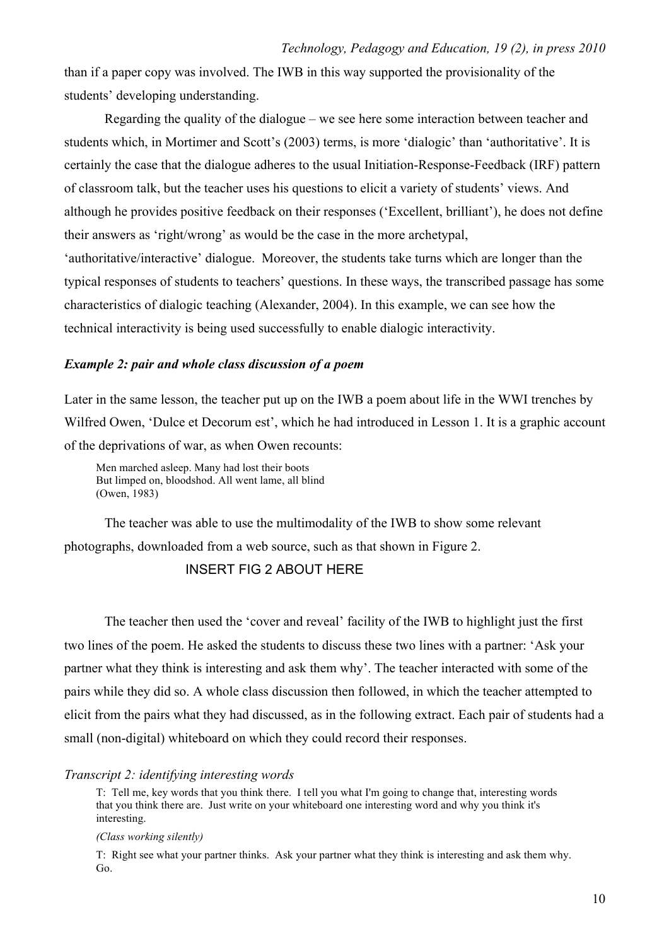than if a paper copy was involved. The IWB in this way supported the provisionality of the students' developing understanding.

Regarding the quality of the dialogue – we see here some interaction between teacher and students which, in Mortimer and Scott's (2003) terms, is more 'dialogic' than 'authoritative'. It is certainly the case that the dialogue adheres to the usual Initiation-Response-Feedback (IRF) pattern of classroom talk, but the teacher uses his questions to elicit a variety of students' views. And although he provides positive feedback on their responses ('Excellent, brilliant'), he does not define their answers as 'right/wrong' as would be the case in the more archetypal,

'authoritative/interactive' dialogue. Moreover, the students take turns which are longer than the typical responses of students to teachers' questions. In these ways, the transcribed passage has some characteristics of dialogic teaching (Alexander, 2004). In this example, we can see how the technical interactivity is being used successfully to enable dialogic interactivity.

# *Example 2: pair and whole class discussion of a poem*

Later in the same lesson, the teacher put up on the IWB a poem about life in the WWI trenches by Wilfred Owen, 'Dulce et Decorum est', which he had introduced in Lesson 1. It is a graphic account of the deprivations of war, as when Owen recounts:

Men marched asleep. Many had lost their boots But limped on, bloodshod. All went lame, all blind (Owen, 1983)

The teacher was able to use the multimodality of the IWB to show some relevant photographs, downloaded from a web source, such as that shown in Figure 2.

# INSERT FIG 2 ABOUT HERE

The teacher then used the 'cover and reveal' facility of the IWB to highlight just the first two lines of the poem. He asked the students to discuss these two lines with a partner: 'Ask your partner what they think is interesting and ask them why'. The teacher interacted with some of the pairs while they did so. A whole class discussion then followed, in which the teacher attempted to elicit from the pairs what they had discussed, as in the following extract. Each pair of students had a small (non-digital) whiteboard on which they could record their responses.

#### *Transcript 2: identifying interesting words*

T: Tell me, key words that you think there. I tell you what I'm going to change that, interesting words that you think there are. Just write on your whiteboard one interesting word and why you think it's interesting.

#### *(Class working silently)*

T: Right see what your partner thinks. Ask your partner what they think is interesting and ask them why. Go.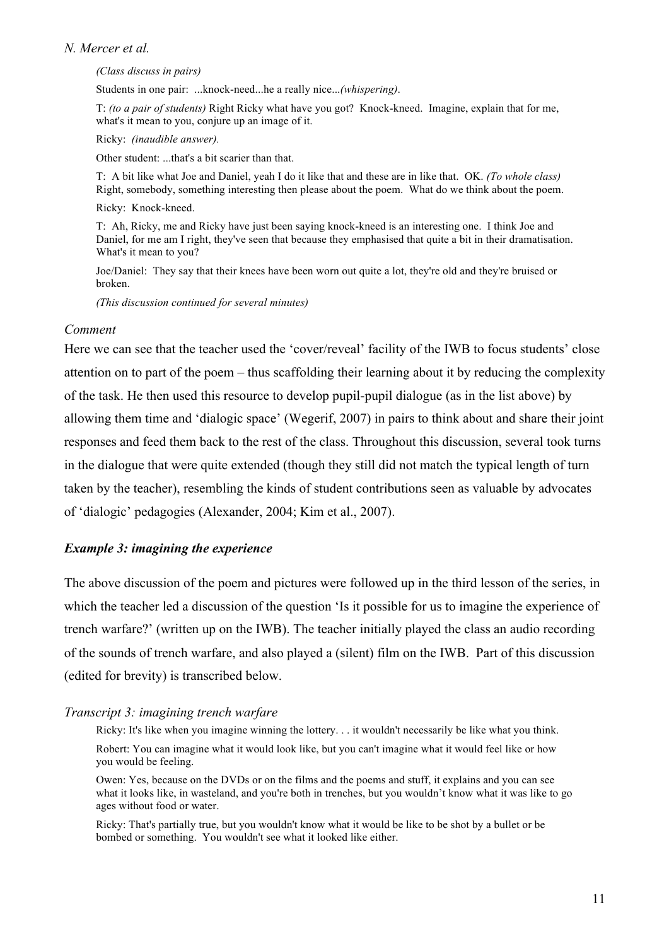*(Class discuss in pairs)* 

Students in one pair: ...knock-need...he a really nice...*(whispering)*.

T: *(to a pair of students)* Right Ricky what have you got? Knock-kneed. Imagine, explain that for me, what's it mean to you, conjure up an image of it.

Ricky: *(inaudible answer).* 

Other student: ...that's a bit scarier than that.

T: A bit like what Joe and Daniel, yeah I do it like that and these are in like that. OK. *(To whole class)*  Right, somebody, something interesting then please about the poem. What do we think about the poem.

Ricky: Knock-kneed.

T: Ah, Ricky, me and Ricky have just been saying knock-kneed is an interesting one. I think Joe and Daniel, for me am I right, they've seen that because they emphasised that quite a bit in their dramatisation. What's it mean to you?

Joe/Daniel: They say that their knees have been worn out quite a lot, they're old and they're bruised or broken.

*(This discussion continued for several minutes)*

### *Comment*

Here we can see that the teacher used the 'cover/reveal' facility of the IWB to focus students' close attention on to part of the poem – thus scaffolding their learning about it by reducing the complexity of the task. He then used this resource to develop pupil-pupil dialogue (as in the list above) by allowing them time and 'dialogic space' (Wegerif, 2007) in pairs to think about and share their joint responses and feed them back to the rest of the class. Throughout this discussion, several took turns in the dialogue that were quite extended (though they still did not match the typical length of turn taken by the teacher), resembling the kinds of student contributions seen as valuable by advocates of 'dialogic' pedagogies (Alexander, 2004; Kim et al., 2007).

# *Example 3: imagining the experience*

The above discussion of the poem and pictures were followed up in the third lesson of the series, in which the teacher led a discussion of the question 'Is it possible for us to imagine the experience of trench warfare?' (written up on the IWB). The teacher initially played the class an audio recording of the sounds of trench warfare, and also played a (silent) film on the IWB. Part of this discussion (edited for brevity) is transcribed below.

#### *Transcript 3: imagining trench warfare*

Ricky: It's like when you imagine winning the lottery. . . it wouldn't necessarily be like what you think. Robert: You can imagine what it would look like, but you can't imagine what it would feel like or how you would be feeling.

Owen: Yes, because on the DVDs or on the films and the poems and stuff, it explains and you can see what it looks like, in wasteland, and you're both in trenches, but you wouldn't know what it was like to go ages without food or water.

Ricky: That's partially true, but you wouldn't know what it would be like to be shot by a bullet or be bombed or something. You wouldn't see what it looked like either.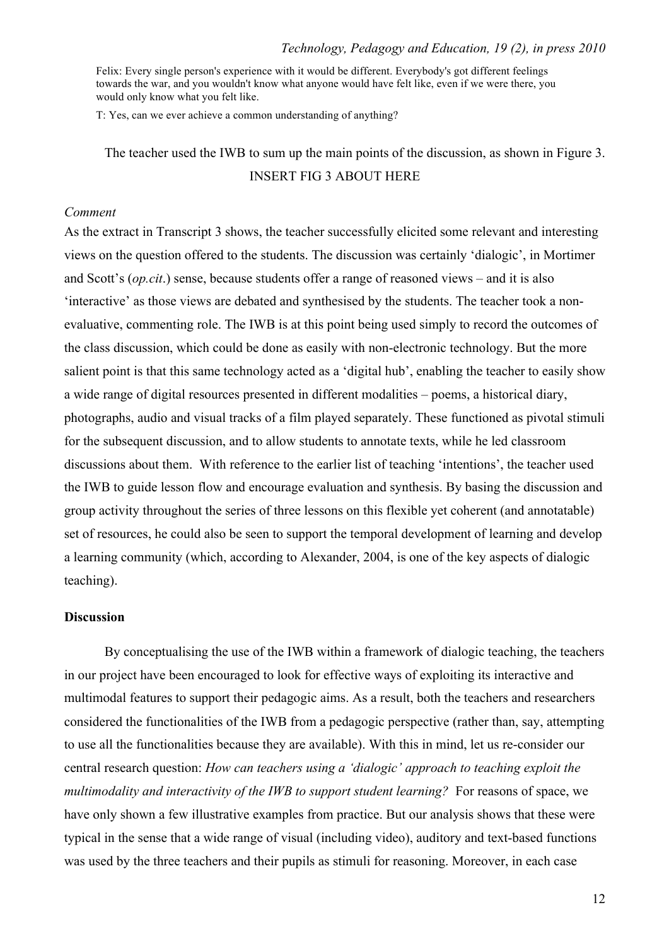Felix: Every single person's experience with it would be different. Everybody's got different feelings towards the war, and you wouldn't know what anyone would have felt like, even if we were there, you would only know what you felt like.

T: Yes, can we ever achieve a common understanding of anything?

The teacher used the IWB to sum up the main points of the discussion, as shown in Figure 3. INSERT FIG 3 ABOUT HERE

### *Comment*

As the extract in Transcript 3 shows, the teacher successfully elicited some relevant and interesting views on the question offered to the students. The discussion was certainly 'dialogic', in Mortimer and Scott's (*op.cit*.) sense, because students offer a range of reasoned views – and it is also 'interactive' as those views are debated and synthesised by the students. The teacher took a nonevaluative, commenting role. The IWB is at this point being used simply to record the outcomes of the class discussion, which could be done as easily with non-electronic technology. But the more salient point is that this same technology acted as a 'digital hub', enabling the teacher to easily show a wide range of digital resources presented in different modalities – poems, a historical diary, photographs, audio and visual tracks of a film played separately. These functioned as pivotal stimuli for the subsequent discussion, and to allow students to annotate texts, while he led classroom discussions about them. With reference to the earlier list of teaching 'intentions', the teacher used the IWB to guide lesson flow and encourage evaluation and synthesis. By basing the discussion and group activity throughout the series of three lessons on this flexible yet coherent (and annotatable) set of resources, he could also be seen to support the temporal development of learning and develop a learning community (which, according to Alexander, 2004, is one of the key aspects of dialogic teaching).

#### **Discussion**

By conceptualising the use of the IWB within a framework of dialogic teaching, the teachers in our project have been encouraged to look for effective ways of exploiting its interactive and multimodal features to support their pedagogic aims. As a result, both the teachers and researchers considered the functionalities of the IWB from a pedagogic perspective (rather than, say, attempting to use all the functionalities because they are available). With this in mind, let us re-consider our central research question: *How can teachers using a 'dialogic' approach to teaching exploit the multimodality and interactivity of the IWB to support student learning?* For reasons of space, we have only shown a few illustrative examples from practice. But our analysis shows that these were typical in the sense that a wide range of visual (including video), auditory and text-based functions was used by the three teachers and their pupils as stimuli for reasoning. Moreover, in each case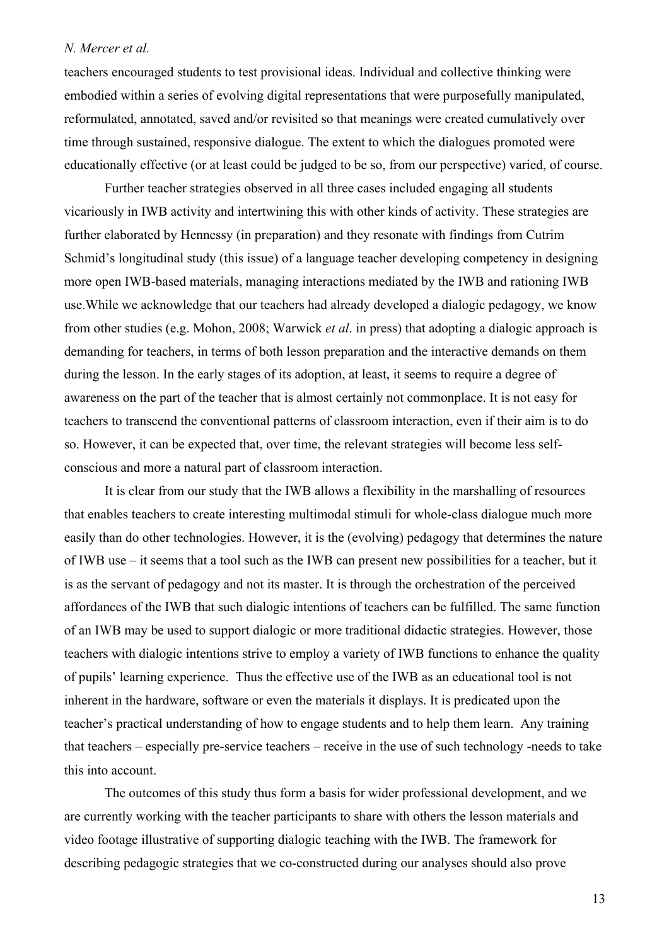teachers encouraged students to test provisional ideas. Individual and collective thinking were embodied within a series of evolving digital representations that were purposefully manipulated, reformulated, annotated, saved and/or revisited so that meanings were created cumulatively over time through sustained, responsive dialogue. The extent to which the dialogues promoted were educationally effective (or at least could be judged to be so, from our perspective) varied, of course.

Further teacher strategies observed in all three cases included engaging all students vicariously in IWB activity and intertwining this with other kinds of activity. These strategies are further elaborated by Hennessy (in preparation) and they resonate with findings from Cutrim Schmid's longitudinal study (this issue) of a language teacher developing competency in designing more open IWB-based materials, managing interactions mediated by the IWB and rationing IWB use.While we acknowledge that our teachers had already developed a dialogic pedagogy, we know from other studies (e.g. Mohon, 2008; Warwick *et al*. in press) that adopting a dialogic approach is demanding for teachers, in terms of both lesson preparation and the interactive demands on them during the lesson. In the early stages of its adoption, at least, it seems to require a degree of awareness on the part of the teacher that is almost certainly not commonplace. It is not easy for teachers to transcend the conventional patterns of classroom interaction, even if their aim is to do so. However, it can be expected that, over time, the relevant strategies will become less selfconscious and more a natural part of classroom interaction.

It is clear from our study that the IWB allows a flexibility in the marshalling of resources that enables teachers to create interesting multimodal stimuli for whole-class dialogue much more easily than do other technologies. However, it is the (evolving) pedagogy that determines the nature of IWB use – it seems that a tool such as the IWB can present new possibilities for a teacher, but it is as the servant of pedagogy and not its master. It is through the orchestration of the perceived affordances of the IWB that such dialogic intentions of teachers can be fulfilled. The same function of an IWB may be used to support dialogic or more traditional didactic strategies. However, those teachers with dialogic intentions strive to employ a variety of IWB functions to enhance the quality of pupils' learning experience. Thus the effective use of the IWB as an educational tool is not inherent in the hardware, software or even the materials it displays. It is predicated upon the teacher's practical understanding of how to engage students and to help them learn. Any training that teachers – especially pre-service teachers – receive in the use of such technology -needs to take this into account.

The outcomes of this study thus form a basis for wider professional development, and we are currently working with the teacher participants to share with others the lesson materials and video footage illustrative of supporting dialogic teaching with the IWB. The framework for describing pedagogic strategies that we co-constructed during our analyses should also prove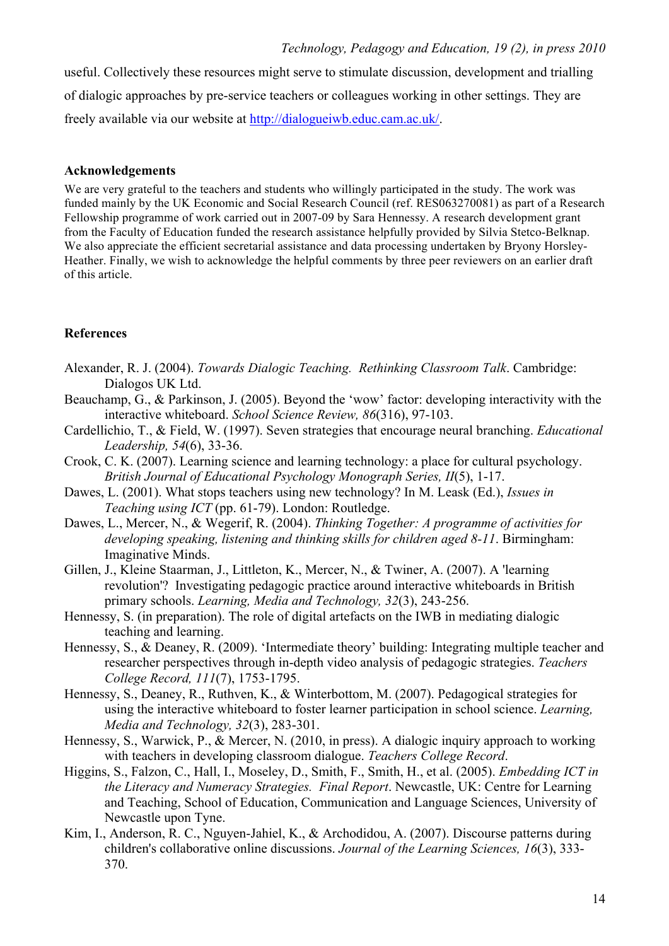useful. Collectively these resources might serve to stimulate discussion, development and trialling of dialogic approaches by pre-service teachers or colleagues working in other settings. They are freely available via our website at http://dialogueiwb.educ.cam.ac.uk/.

# **Acknowledgements**

We are very grateful to the teachers and students who willingly participated in the study. The work was funded mainly by the UK Economic and Social Research Council (ref. RES063270081) as part of a Research Fellowship programme of work carried out in 2007-09 by Sara Hennessy. A research development grant from the Faculty of Education funded the research assistance helpfully provided by Silvia Stetco-Belknap. We also appreciate the efficient secretarial assistance and data processing undertaken by Bryony Horsley-Heather. Finally, we wish to acknowledge the helpful comments by three peer reviewers on an earlier draft of this article.

# **References**

- Alexander, R. J. (2004). *Towards Dialogic Teaching. Rethinking Classroom Talk*. Cambridge: Dialogos UK Ltd.
- Beauchamp, G., & Parkinson, J. (2005). Beyond the 'wow' factor: developing interactivity with the interactive whiteboard. *School Science Review, 86*(316), 97-103.
- Cardellichio, T., & Field, W. (1997). Seven strategies that encourage neural branching. *Educational Leadership, 54*(6), 33-36.
- Crook, C. K. (2007). Learning science and learning technology: a place for cultural psychology. *British Journal of Educational Psychology Monograph Series, II*(5), 1-17.
- Dawes, L. (2001). What stops teachers using new technology? In M. Leask (Ed.), *Issues in Teaching using ICT* (pp. 61-79). London: Routledge.
- Dawes, L., Mercer, N., & Wegerif, R. (2004). *Thinking Together: A programme of activities for developing speaking, listening and thinking skills for children aged 8-11*. Birmingham: Imaginative Minds.
- Gillen, J., Kleine Staarman, J., Littleton, K., Mercer, N., & Twiner, A. (2007). A 'learning revolution'? Investigating pedagogic practice around interactive whiteboards in British primary schools. *Learning, Media and Technology, 32*(3), 243-256.
- Hennessy, S. (in preparation). The role of digital artefacts on the IWB in mediating dialogic teaching and learning.
- Hennessy, S., & Deaney, R. (2009). 'Intermediate theory' building: Integrating multiple teacher and researcher perspectives through in-depth video analysis of pedagogic strategies. *Teachers College Record, 111*(7), 1753-1795.
- Hennessy, S., Deaney, R., Ruthven, K., & Winterbottom, M. (2007). Pedagogical strategies for using the interactive whiteboard to foster learner participation in school science. *Learning, Media and Technology, 32*(3), 283-301.
- Hennessy, S., Warwick, P., & Mercer, N. (2010, in press). A dialogic inquiry approach to working with teachers in developing classroom dialogue. *Teachers College Record*.
- Higgins, S., Falzon, C., Hall, I., Moseley, D., Smith, F., Smith, H., et al. (2005). *Embedding ICT in the Literacy and Numeracy Strategies. Final Report*. Newcastle, UK: Centre for Learning and Teaching, School of Education, Communication and Language Sciences, University of Newcastle upon Tyne.
- Kim, I., Anderson, R. C., Nguyen-Jahiel, K., & Archodidou, A. (2007). Discourse patterns during children's collaborative online discussions. *Journal of the Learning Sciences, 16*(3), 333- 370.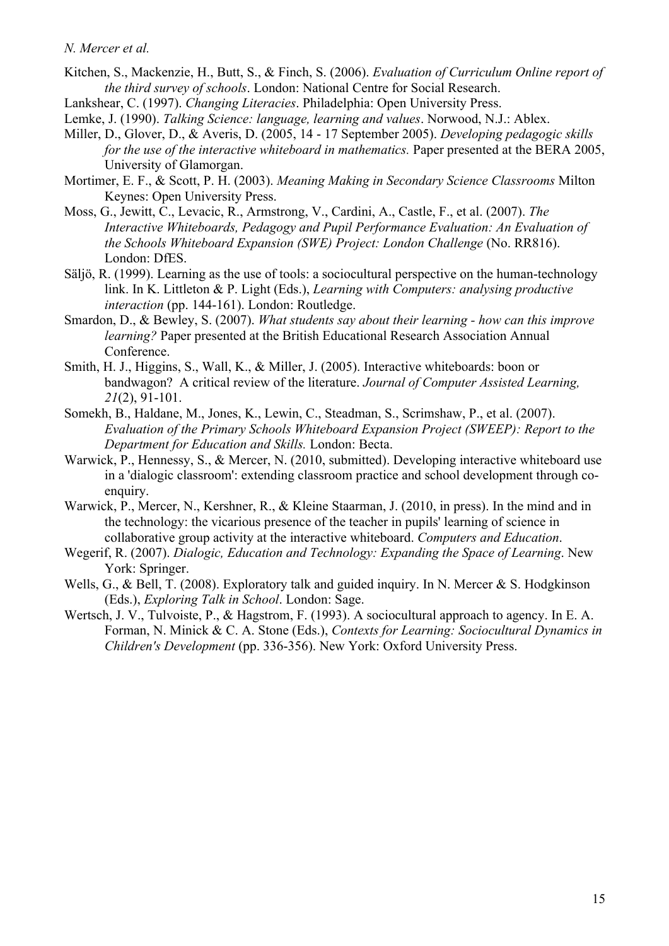- Kitchen, S., Mackenzie, H., Butt, S., & Finch, S. (2006). *Evaluation of Curriculum Online report of the third survey of schools*. London: National Centre for Social Research.
- Lankshear, C. (1997). *Changing Literacies*. Philadelphia: Open University Press.

Lemke, J. (1990). *Talking Science: language, learning and values*. Norwood, N.J.: Ablex.

- Miller, D., Glover, D., & Averis, D. (2005, 14 17 September 2005). *Developing pedagogic skills for the use of the interactive whiteboard in mathematics.* Paper presented at the BERA 2005, University of Glamorgan.
- Mortimer, E. F., & Scott, P. H. (2003). *Meaning Making in Secondary Science Classrooms* Milton Keynes: Open University Press.
- Moss, G., Jewitt, C., Levacic, R., Armstrong, V., Cardini, A., Castle, F., et al. (2007). *The Interactive Whiteboards, Pedagogy and Pupil Performance Evaluation: An Evaluation of the Schools Whiteboard Expansion (SWE) Project: London Challenge* (No. RR816). London: DfES.
- Säljö, R. (1999). Learning as the use of tools: a sociocultural perspective on the human-technology link. In K. Littleton & P. Light (Eds.), *Learning with Computers: analysing productive interaction* (pp. 144-161). London: Routledge.
- Smardon, D., & Bewley, S. (2007). *What students say about their learning - how can this improve learning?* Paper presented at the British Educational Research Association Annual Conference.
- Smith, H. J., Higgins, S., Wall, K., & Miller, J. (2005). Interactive whiteboards: boon or bandwagon? A critical review of the literature. *Journal of Computer Assisted Learning, 21*(2), 91-101.
- Somekh, B., Haldane, M., Jones, K., Lewin, C., Steadman, S., Scrimshaw, P., et al. (2007). *Evaluation of the Primary Schools Whiteboard Expansion Project (SWEEP): Report to the Department for Education and Skills.* London: Becta.
- Warwick, P., Hennessy, S., & Mercer, N. (2010, submitted). Developing interactive whiteboard use in a 'dialogic classroom': extending classroom practice and school development through coenquiry.
- Warwick, P., Mercer, N., Kershner, R., & Kleine Staarman, J. (2010, in press). In the mind and in the technology: the vicarious presence of the teacher in pupils' learning of science in collaborative group activity at the interactive whiteboard. *Computers and Education*.
- Wegerif, R. (2007). *Dialogic, Education and Technology: Expanding the Space of Learning*. New York: Springer.
- Wells, G., & Bell, T. (2008). Exploratory talk and guided inquiry. In N. Mercer & S. Hodgkinson (Eds.), *Exploring Talk in School*. London: Sage.
- Wertsch, J. V., Tulvoiste, P., & Hagstrom, F. (1993). A sociocultural approach to agency. In E. A. Forman, N. Minick & C. A. Stone (Eds.), *Contexts for Learning: Sociocultural Dynamics in Children's Development* (pp. 336-356). New York: Oxford University Press.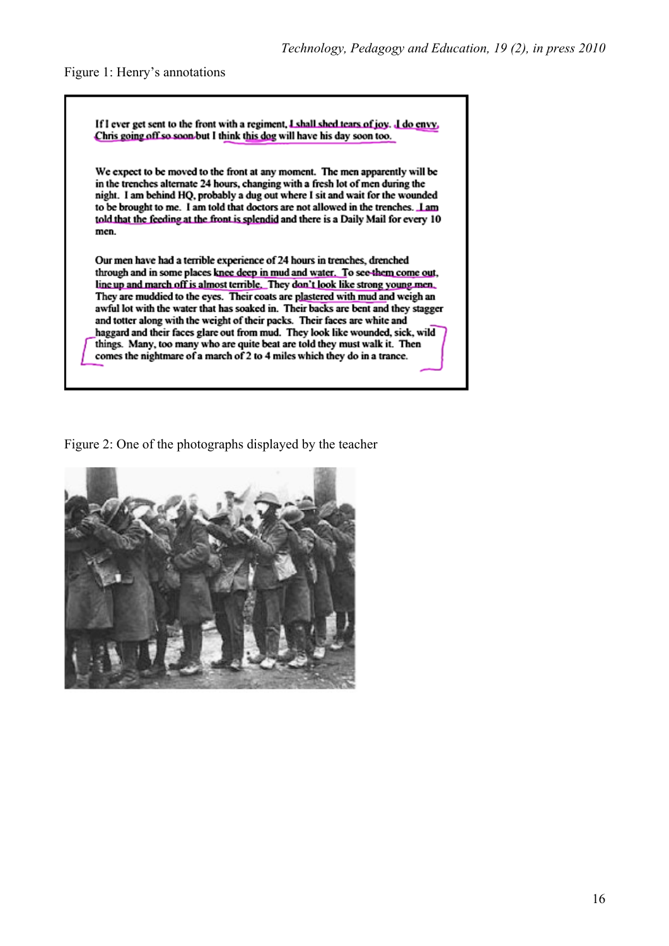Figure 1: Henry's annotations

If I ever get sent to the front with a regiment, I shall shed tears of joy. I do envy, Chris going off so soon but I think this dog will have his day soon too. We expect to be moved to the front at any moment. The men apparently will be in the trenches alternate 24 hours, changing with a fresh lot of men during the night. I am behind HQ, probably a dug out where I sit and wait for the wounded to be brought to me. I am told that doctors are not allowed in the trenches. I am told that the feeding at the front is splendid and there is a Daily Mail for every 10 men. Our men have had a terrible experience of 24 hours in trenches, drenched through and in some places knee deep in mud and water. To see them come out, line up and march off is almost terrible. They don't look like strong young men. They are muddied to the eyes. Their coats are plastered with mud and weigh an awful lot with the water that has soaked in. Their backs are bent and they stagger and totter along with the weight of their packs. Their faces are white and haggard and their faces glare out from mud. They look like wounded, sick, wild things. Many, too many who are quite beat are told they must walk it. Then comes the nightmare of a march of 2 to 4 miles which they do in a trance.

Figure 2: One of the photographs displayed by the teacher